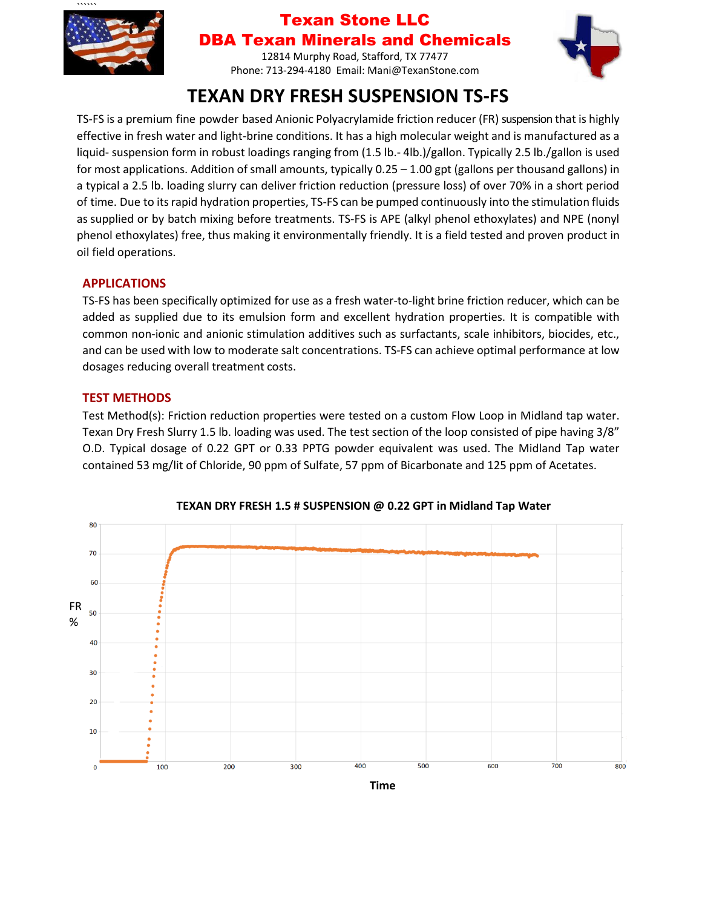

### Texan Stone LLC DBA Texan Minerals and Chemicals

12814 Murphy Road, Stafford, TX 77477 Phone: 713-294-4180 Email: Mani@TexanStone.com



# **TEXAN DRY FRESH SUSPENSION TS-FS**

TS-FS is a premium fine powder based Anionic Polyacrylamide friction reducer (FR) suspension that is highly effective in fresh water and light-brine conditions. It has a high molecular weight and is manufactured as a liquid- suspension form in robust loadings ranging from (1.5 lb.- 4lb.)/gallon. Typically 2.5 lb./gallon is used for most applications. Addition of small amounts, typically 0.25 – 1.00 gpt (gallons per thousand gallons) in a typical a 2.5 lb. loading slurry can deliver friction reduction (pressure loss) of over 70% in a short period of time. Due to itsrapid hydration properties, TS-FS can be pumped continuously into the stimulation fluids as supplied or by batch mixing before treatments. TS-FS is APE (alkyl phenol ethoxylates) and NPE (nonyl phenol ethoxylates) free, thus making it environmentally friendly. It is a field tested and proven product in oil field operations.

#### **APPLICATIONS**

TS-FS has been specifically optimized for use as a fresh water-to-light brine friction reducer, which can be added as supplied due to its emulsion form and excellent hydration properties. It is compatible with common non-ionic and anionic stimulation additives such as surfactants, scale inhibitors, biocides, etc., and can be used with low to moderate salt concentrations. TS-FS can achieve optimal performance at low dosages reducing overall treatment costs.

#### **TEST METHODS**

Test Method(s): Friction reduction properties were tested on a custom Flow Loop in Midland tap water. Texan Dry Fresh Slurry 1.5 lb. loading was used. The test section of the loop consisted of pipe having 3/8" O.D. Typical dosage of 0.22 GPT or 0.33 PPTG powder equivalent was used. The Midland Tap water contained 53 mg/lit of Chloride, 90 ppm of Sulfate, 57 ppm of Bicarbonate and 125 ppm of Acetates.



**TEXAN DRY FRESH 1.5 # SUSPENSION @ 0.22 GPT in Midland Tap Water**